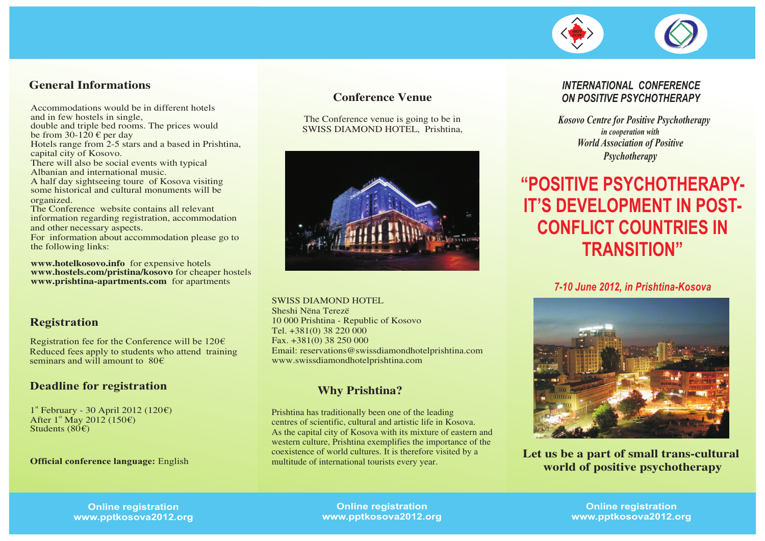#### **General Informations**

Accommodations would be in different hotels and in few hostels in single,

double and triple bed rooms. The prices would be from 30-120  $\epsilon$  per day

Hotels range from 2-5 stars and a based in Prishtina, capital city of Kosovo.

There will also be social events with typical Albanian and international music.

A half day sightseeing toure of Kosova visiting some historical and cultural monuments will be organized.

The Conference website contains all relevant information regarding registration, accommodation and other necessary aspects.

For information about accommodation please go to the following links:

**www.hotelkosovo.info** for expensive hotels **www.hostels.com/pristina/kosovo** for cheaper hostels **www.prishtina-apartments.com** for apartments

#### **Registration**

Registration fee for the Conference will be  $120 \epsilon$ Reduced fees apply to students who attend training seminars and will amount to 80€

#### **Deadline for registration**

1<sup>st</sup> February - 30 April 2012 (120€) After  $1^{\text{st}}$  May 2012 (150€) Students  $(80<sup>ε</sup>)$ 

#### **Official conference language:** English

#### **Conference Venue**

The Conference venue is going to be in SWISS DIAMOND HOTEL, Prishtina,



SWISS DIAMOND HOTEL

Sheshi Nëna Terezë 10 000 Prishtina - Republic of Kosovo Tel. +381(0) 38 220 000 Fax. +381(0) 38 250 000 Email: reservations@swissdiamondhotelprishtina.com www.swissdiamondhotelprishtina.com

### **Why Prishtina?**

Prishtina has traditionally been one of the leading centres of scientific, cultural and artistic life in Kosova. As the capital city of Kosova with its mixture of eastern and western culture, Prishtina exemplifies the importance of the coexistence of world cultures. It is therefore visited by a multitude of international tourists every year.

#### *INTERNATIONAL CONFERENCE ON POSITIVE PSYCHOTHERAPY*

*Kosovo Centre for Positive Psychotherapy in cooperation with World Association of Positive Psychotherapy*

# **"POSITIVE PSYCHOTHERAPY-IT'S DEVELOPMENT IN POST-CONFLICT COUNTRIES IN TRANSITION"**

#### *7-10 June 2012, in Prishtina-Kosova*



**Let us be a part of small trans-cultural world of positive psychotherapy**

**Online registration www.pptkosova2012.org**

**Online registration www.pptkosova2012.org**

**Online registration www.pptkosova2012.org**